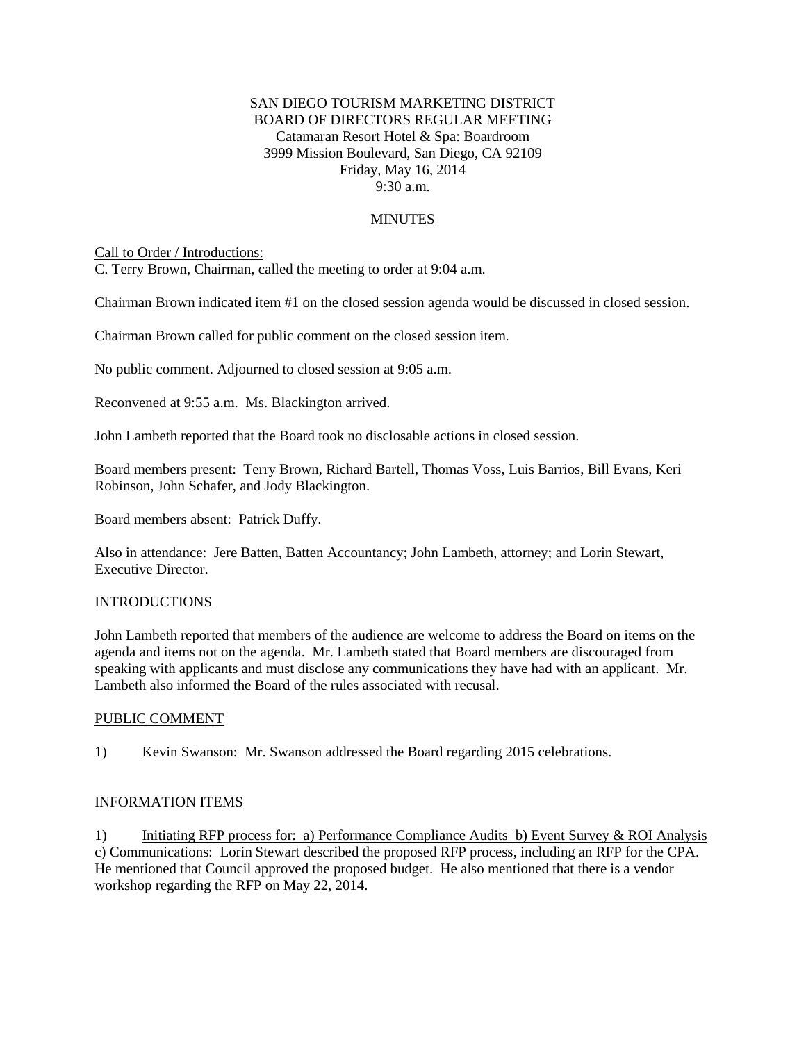## SAN DIEGO TOURISM MARKETING DISTRICT BOARD OF DIRECTORS REGULAR MEETING Catamaran Resort Hotel & Spa: Boardroom 3999 Mission Boulevard, San Diego, CA 92109 Friday, May 16, 2014 9:30 a.m.

# MINUTES

Call to Order / Introductions:

C. Terry Brown, Chairman, called the meeting to order at 9:04 a.m.

Chairman Brown indicated item #1 on the closed session agenda would be discussed in closed session.

Chairman Brown called for public comment on the closed session item.

No public comment. Adjourned to closed session at 9:05 a.m.

Reconvened at 9:55 a.m. Ms. Blackington arrived.

John Lambeth reported that the Board took no disclosable actions in closed session.

Board members present: Terry Brown, Richard Bartell, Thomas Voss, Luis Barrios, Bill Evans, Keri Robinson, John Schafer, and Jody Blackington.

Board members absent: Patrick Duffy.

Also in attendance: Jere Batten, Batten Accountancy; John Lambeth, attorney; and Lorin Stewart, Executive Director.

### INTRODUCTIONS

John Lambeth reported that members of the audience are welcome to address the Board on items on the agenda and items not on the agenda. Mr. Lambeth stated that Board members are discouraged from speaking with applicants and must disclose any communications they have had with an applicant. Mr. Lambeth also informed the Board of the rules associated with recusal.

#### PUBLIC COMMENT

1) Kevin Swanson: Mr. Swanson addressed the Board regarding 2015 celebrations.

#### INFORMATION ITEMS

1) Initiating RFP process for: a) Performance Compliance Audits b) Event Survey & ROI Analysis c) Communications: Lorin Stewart described the proposed RFP process, including an RFP for the CPA. He mentioned that Council approved the proposed budget. He also mentioned that there is a vendor workshop regarding the RFP on May 22, 2014.